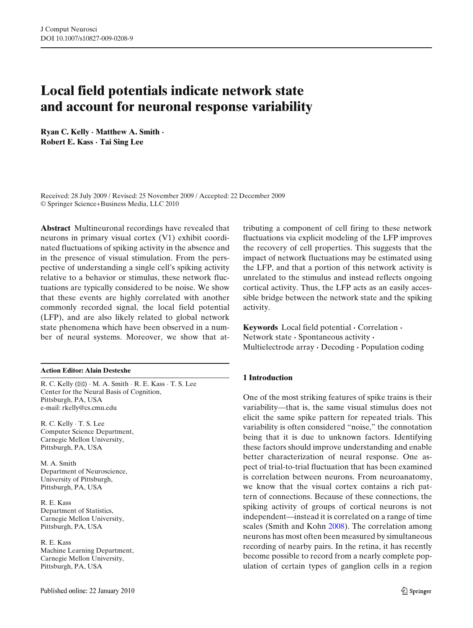# **Local field potentials indicate network state and account for neuronal response variability**

**Ryan C. Kelly · Matthew A. Smith · Robert E. Kass · Tai Sing Lee**

Received: 28 July 2009 / Revised: 25 November 2009 / Accepted: 22 December 2009 © Springer Science+Business Media, LLC 2010

**Abstract** Multineuronal recordings have revealed that neurons in primary visual cortex (V1) exhibit coordinated fluctuations of spiking activity in the absence and in the presence of visual stimulation. From the perspective of understanding a single cell's spiking activity relative to a behavior or stimulus, these network fluctuations are typically considered to be noise. We show that these events are highly correlated with another commonly recorded signal, the local field potential (LFP), and are also likely related to global network state phenomena which have been observed in a number of neural systems. Moreover, we show that at-

#### **Action Editor: Alain Destexhe**

R. C. Kelly  $(\boxtimes) \cdot M$ . A. Smith  $\cdot R$ . E. Kass  $\cdot T$ . S. Lee Center for the Neural Basis of Cognition, Pittsburgh, PA, USA e-mail: rkelly@cs.cmu.edu

R. C. Kelly · T. S. Lee Computer Science Department, Carnegie Mellon University, Pittsburgh, PA, USA

M. A. Smith Department of Neuroscience, University of Pittsburgh, Pittsburgh, PA, USA

R. E. Kass Department of Statistics, Carnegie Mellon University, Pittsburgh, PA, USA

R. E. Kass Machine Learning Department, Carnegie Mellon University, Pittsburgh, PA, USA

tributing a component of cell firing to these network fluctuations via explicit modeling of the LFP improves the recovery of cell properties. This suggests that the impact of network fluctuations may be estimated using the LFP, and that a portion of this network activity is unrelated to the stimulus and instead reflects ongoing cortical activity. Thus, the LFP acts as an easily accessible bridge between the network state and the spiking activity.

**Keywords** Local field potential **·** Correlation **·** Network state **·** Spontaneous activity **·** Multielectrode array **·** Decoding **·** Population coding

## **1 Introduction**

One of the most striking features of spike trains is their variability—that is, the same visual stimulus does not elicit the same spike pattern for repeated trials. This variability is often considered "noise," the connotation being that it is due to unknown factors. Identifying these factors should improve understanding and enable better characterization of neural response. One aspect of trial-to-trial fluctuation that has been examined is correlation between neurons. From neuroanatomy, we know that the visual cortex contains a rich pattern of connections. Because of these connections, the spiking activity of groups of cortical neurons is not independent—instead it is correlated on a range of time scales (Smith and Koh[n](#page-12-0) [2008\)](#page-12-0). The correlation among neurons has most often been measured by simultaneous recording of nearby pairs. In the retina, it has recently become possible to record from a nearly complete population of certain types of ganglion cells in a region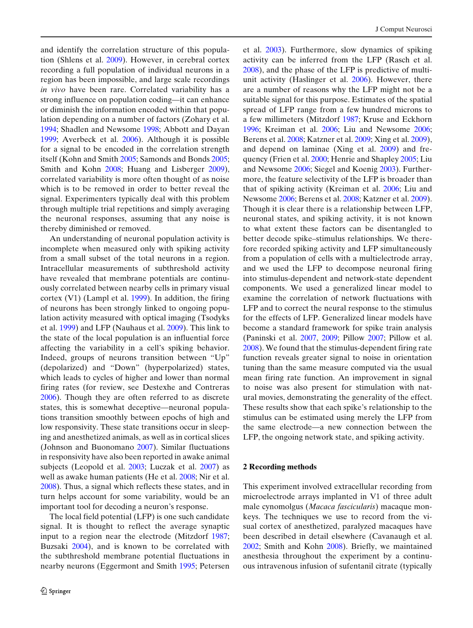and identify the correlation structure of this population (Shlens et al[.](#page-12-0) [2009](#page-12-0)). However, in cerebral cortex recording a full population of individual neurons in a region has been impossible, and large scale recordings *in vivo* have been rare. Correlated variability has a strong influence on population coding—it can enhance or diminish the information encoded within that population depending on a number of factors (Zohary et al[.](#page-12-0) [1994](#page-12-0); Shadlen and Newsom[e](#page-12-0) [1998](#page-12-0); Abbott and Daya[n](#page-11-0) [1999](#page-11-0); Averbeck et al[.](#page-11-0) [2006](#page-11-0)). Although it is possible for a signal to be encoded in the correlation strength itself (Kohn and Smit[h](#page-11-0) [2005](#page-11-0); Samonds and Bond[s](#page-12-0) [2005;](#page-12-0) Smith and Koh[n](#page-12-0) [2008;](#page-12-0) Huang and Lisberge[r](#page-11-0) [2009\)](#page-11-0), correlated variability is more often thought of as noise which is to be removed in order to better reveal the signal. Experimenters typically deal with this problem through multiple trial repetitions and simply averaging the neuronal responses, assuming that any noise is thereby diminished or removed.

An understanding of neuronal population activity is incomplete when measured only with spiking activity from a small subset of the total neurons in a region. Intracellular measurements of subthreshold activity have revealed that membrane potentials are continuously correlated between nearby cells in primary visual cortex (V1) (Lampl et al[.](#page-12-0) [1999](#page-12-0)). In addition, the firing of neurons has been strongly linked to ongoing population activity measured with optical imaging (Tsodyks et al[.](#page-12-0) [1999\)](#page-12-0) and LFP (Nauhaus et al[.](#page-12-0) [2009](#page-12-0)). This link to the state of the local population is an influential force affecting the variability in a cell's spiking behavior. Indeed, groups of neurons transition between "Up" (depolarized) and "Down" (hyperpolarized) states, which leads to cycles of higher and lower than normal firing rates (for review, see Destexhe and Contrera[s](#page-11-0) [2006](#page-11-0)). Though they are often referred to as discrete states, this is somewhat deceptive—neuronal populations transition smoothly between epochs of high and low responsivity. These state transitions occur in sleeping and anesthetized animals, as well as in cortical slices (Johnson and Buonoman[o](#page-11-0) [2007\)](#page-11-0). Similar fluctuations in responsivity have also been reported in awake animal subjects (Leopold et al[.](#page-12-0) [2003;](#page-12-0) Luczak et al[.](#page-12-0) [2007](#page-12-0)) as well as awake human patients (He et al[.](#page-12-0) [2008](#page-11-0); Nir et al. [2008](#page-12-0)). Thus, a signal which reflects these states, and in turn helps account for some variability, would be an important tool for decoding a neuron's response.

The local field potential (LFP) is one such candidate signal. It is thought to reflect the average synaptic input to a region near the electrode (Mitzdor[f](#page-12-0) [1987;](#page-12-0) Buzsak[i](#page-11-0) [2004\)](#page-11-0), and is known to be correlated with the subthreshold membrane potential fluctuations in nearby neurons (Eggermont and Smit[h](#page-11-0) [1995;](#page-11-0) Petersen et al[.](#page-12-0) [2003\)](#page-12-0). Furthermore, slow dynamics of spiking activity can be inferred from the LFP (Rasch et al[.](#page-12-0) [2008](#page-12-0)), and the phase of the LFP is predictive of multiunit activity (Haslinger et al[.](#page-11-0) [2006](#page-11-0)). However, there are a number of reasons why the LFP might not be a suitable signal for this purpose. Estimates of the spatial spread of LFP range from a few hundred microns to a few millimeters (Mitzdor[f](#page-12-0) [1987;](#page-12-0) Kruse and Eckhor[n](#page-11-0) [1996](#page-11-0); Kreiman et al[.](#page-11-0) [2006](#page-11-0); Liu and Newsom[e](#page-12-0) [2006;](#page-12-0) Berens et al[.](#page-11-0) [2008;](#page-11-0) Katzner et al[.](#page-11-0) [2009;](#page-11-0) Xing et al[.](#page-12-0) [2009\)](#page-12-0), and depend on laminae (Xing et al[.](#page-12-0) [2009\)](#page-12-0) and frequency (Frien et al[.](#page-11-0) [2000](#page-11-0); Henrie and Shaple[y](#page-11-0) [2005;](#page-11-0) Liu and Newsom[e](#page-12-0) [2006;](#page-12-0) Siegel and Koeni[g](#page-12-0) [2003](#page-12-0)). Furthermore, the feature selectivity of the LFP is broader than that of spiking activity (Kreiman et al[.](#page-11-0) [2006;](#page-11-0) Liu and Newsom[e](#page-12-0) [2006](#page-12-0); Berens et al[.](#page-11-0) [2008](#page-11-0); Katzner et al[.](#page-11-0) [2009\)](#page-11-0). Though it is clear there is a relationship between LFP, neuronal states, and spiking activity, it is not known to what extent these factors can be disentangled to better decode spike–stimulus relationships. We therefore recorded spiking activity and LFP simultaneously from a population of cells with a multielectrode array, and we used the LFP to decompose neuronal firing into stimulus-dependent and network-state dependent components. We used a generalized linear model to examine the correlation of network fluctuations with LFP and to correct the neural response to the stimulus for the effects of LFP. Generalized linear models have become a standard framework for spike train analysis (Paninski et al. [2007,](#page-12-0) [2009](#page-12-0); Pillow [2007](#page-12-0); Pillow et al. [2008](#page-12-0)). We found that the stimulus-dependent firing rate function reveals greater signal to noise in orientation tuning than the same measure computed via the usual mean firing rate function. An improvement in signal to noise was also present for stimulation with natural movies, demonstrating the generality of the effect. These results show that each spike's relationship to the stimulus can be estimated using merely the LFP from the same electrode—a new connection between the LFP, the ongoing network state, and spiking activity.

## **2 Recording methods**

This experiment involved extracellular recording from microelectrode arrays implanted in V1 of three adult male cynomolgus (*Macaca fascicularis*) macaque monkeys. The techniques we use to record from the visual cortex of anesthetized, paralyzed macaques have been described in detail elsewhere (Cavanaugh et al[.](#page-11-0) [2002](#page-11-0); Smith and Koh[n](#page-12-0) [2008\)](#page-12-0). Briefly, we maintained anesthesia throughout the experiment by a continuous intravenous infusion of sufentanil citrate (typically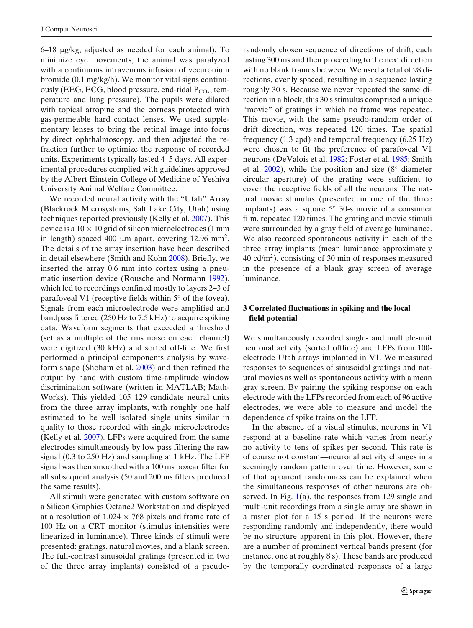6–18 μg/kg, adjusted as needed for each animal). To minimize eye movements, the animal was paralyzed with a continuous intravenous infusion of vecuronium bromide (0.1 mg/kg/h). We monitor vital signs continuously (EEG, ECG, blood pressure, end-tidal  $P_{CO_2}$ , temperature and lung pressure). The pupils were dilated with topical atropine and the corneas protected with gas-permeable hard contact lenses. We used supplementary lenses to bring the retinal image into focus by direct ophthalmoscopy, and then adjusted the refraction further to optimize the response of recorded units. Experiments typically lasted 4–5 days. All experimental procedures complied with guidelines approved by the Albert Einstein College of Medicine of Yeshiva University Animal Welfare Committee.

We recorded neural activity with the "Utah" Array (Blackrock Microsystems, Salt Lake City, Utah) using techniques reported previously (Kelly et al[.](#page-11-0) [2007](#page-11-0)). This device is a  $10 \times 10$  grid of silicon microelectrodes (1 mm in length) spaced 400  $\mu$ m apart, covering 12.96 mm<sup>2</sup>. The details of the array insertion have been described in detail elsewhere (Smith and Koh[n](#page-12-0) [2008\)](#page-12-0). Briefly, we inserted the array 0.6 mm into cortex using a pneumatic insertion device (Rousche and Norman[n](#page-12-0) [1992\)](#page-12-0), which led to recordings confined mostly to layers 2–3 of parafoveal V1 (receptive fields within 5° of the fovea). Signals from each microelectrode were amplified and bandpass filtered (250 Hz to 7.5 kHz) to acquire spiking data. Waveform segments that exceeded a threshold (set as a multiple of the rms noise on each channel) were digitized (30 kHz) and sorted off-line. We first performed a principal components analysis by waveform shape (Shoham et al[.](#page-12-0) [2003\)](#page-12-0) and then refined the output by hand with custom time-amplitude window discrimination software (written in MATLAB; Math-Works). This yielded 105–129 candidate neural units from the three array implants, with roughly one half estimated to be well isolated single units similar in quality to those recorded with single microelectrodes (Kelly et al[.](#page-11-0) [2007\)](#page-11-0). LFPs were acquired from the same electrodes simultaneously by low pass filtering the raw signal (0.3 to 250 Hz) and sampling at 1 kHz. The LFP signal was then smoothed with a 100 ms boxcar filter for all subsequent analysis (50 and 200 ms filters produced the same results).

All stimuli were generated with custom software on a Silicon Graphics Octane2 Workstation and displayed at a resolution of  $1,024 \times 768$  pixels and frame rate of 100 Hz on a CRT monitor (stimulus intensities were linearized in luminance). Three kinds of stimuli were presented: gratings, natural movies, and a blank screen. The full-contrast sinusoidal gratings (presented in two of the three array implants) consisted of a pseudorandomly chosen sequence of directions of drift, each lasting 300 ms and then proceeding to the next direction with no blank frames between. We used a total of 98 directions, evenly spaced, resulting in a sequence lasting roughly 30 s. Because we never repeated the same direction in a block, this 30 s stimulus comprised a unique "movie" of gratings in which no frame was repeated. This movie, with the same pseudo-random order of drift direction, was repeated 120 times. The spatial frequency (1.3 cpd) and temporal frequency (6.25 Hz) were chosen to fit the preference of parafoveal V1 neurons (DeValois et al[.](#page-11-0) [1982;](#page-11-0) Foster et al[.](#page-11-0) [1985;](#page-11-0) Smith et al[.](#page-12-0)  $2002$ ), while the position and size ( $8°$  diameter circular aperture) of the grating were sufficient to cover the receptive fields of all the neurons. The natural movie stimulus (presented in one of the three implants) was a square 5◦ 30-s movie of a consumer film, repeated 120 times. The grating and movie stimuli were surrounded by a gray field of average luminance. We also recorded spontaneous activity in each of the three array implants (mean luminance approximately  $40$  cd/m<sup>2</sup>), consisting of 30 min of responses measured in the presence of a blank gray screen of average luminance.

# **3 Correlated fluctuations in spiking and the local field potential**

We simultaneously recorded single- and multiple-unit neuronal activity (sorted offline) and LFPs from 100 electrode Utah arrays implanted in V1. We measured responses to sequences of sinusoidal gratings and natural movies as well as spontaneous activity with a mean gray screen. By pairing the spiking response on each electrode with the LFPs recorded from each of 96 active electrodes, we were able to measure and model the dependence of spike trains on the LFP.

In the absence of a visual stimulus, neurons in V1 respond at a baseline rate which varies from nearly no activity to tens of spikes per second. This rate is of course not constant—neuronal activity changes in a seemingly random pattern over time. However, some of that apparent randomness can be explained when the simultaneous responses of other neurons are observed. In Fig.  $1(a)$  $1(a)$ , the responses from 129 single and multi-unit recordings from a single array are shown in a raster plot for a 15 s period. If the neurons were responding randomly and independently, there would be no structure apparent in this plot. However, there are a number of prominent vertical bands present (for instance, one at roughly 8 s). These bands are produced by the temporally coordinated responses of a large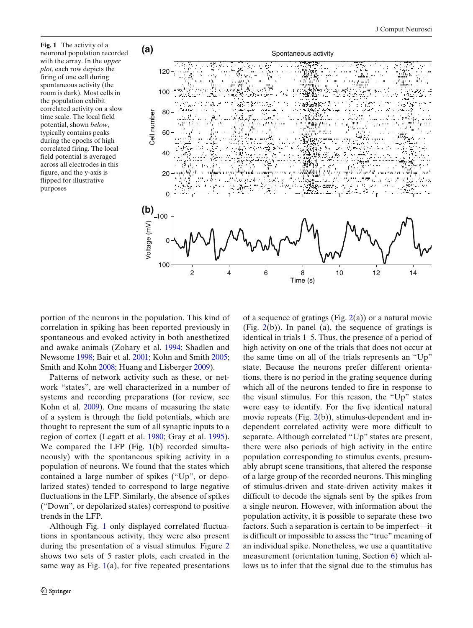<span id="page-3-0"></span>**Fig. 1** The activity of a neuronal population recorded with the array. In the *upper plot*, each row depicts the firing of one cell during spontaneous activity (the room is dark). Most cells in the population exhibit correlated activity on a slow time scale. The local field potential, shown *below*, typically contains peaks during the epochs of high correlated firing. The local field potential is averaged across all electrodes in this figure, and the y-axis is flipped for illustrative purposes 0



portion of the neurons in the population. This kind of correlation in spiking has been reported previously in spontaneous and evoked activity in both anesthetized and awake animals (Zohary et al[.](#page-12-0) [1994](#page-12-0); Shadlen and Newsom[e](#page-12-0) [1998;](#page-12-0) Bair et al[.](#page-11-0) [2001](#page-11-0); Kohn and Smit[h](#page-11-0) [2005;](#page-11-0) Smith and Koh[n](#page-12-0) [2008;](#page-12-0) Huang and Lisberge[r](#page-11-0) [2009](#page-11-0)).

Patterns of network activity such as these, or network "states", are well characterized in a number of systems and recording preparations (for review, see Kohn et al[.](#page-11-0) [2009](#page-11-0)). One means of measuring the state of a system is through the field potentials, which are thought to represent the sum of all synaptic inputs to a region of cortex (Legatt et al[.](#page-11-0) [1980;](#page-12-0) Gray et al. [1995\)](#page-11-0). We compared the LFP (Fig. 1(b) recorded simultaneously) with the spontaneous spiking activity in a population of neurons. We found that the states which contained a large number of spikes ("Up", or depolarized states) tended to correspond to large negative fluctuations in the LFP. Similarly, the absence of spikes ("Down", or depolarized states) correspond to positive trends in the LFP.

Although Fig. 1 only displayed correlated fluctuations in spontaneous activity, they were also present during the presentation of a visual stimulus. Figure [2](#page-4-0) shows two sets of 5 raster plots, each created in the same way as Fig.  $1(a)$ , for five repeated presentations

of a sequence of gratings (Fig.  $2(a)$  $2(a)$ ) or a natural movie (Fig.  $2(b)$  $2(b)$ ). In panel (a), the sequence of gratings is identical in trials 1–5. Thus, the presence of a period of high activity on one of the trials that does not occur at the same time on all of the trials represents an "Up" state. Because the neurons prefer different orientations, there is no period in the grating sequence during which all of the neurons tended to fire in response to the visual stimulus. For this reason, the "Up" states were easy to identify. For the five identical natural movie repeats (Fig. [2\(](#page-4-0)b)), stimulus-dependent and independent correlated activity were more difficult to separate. Although correlated "Up" states are present, there were also periods of high activity in the entire population corresponding to stimulus events, presumably abrupt scene transitions, that altered the response of a large group of the recorded neurons. This mingling of stimulus-driven and state-driven activity makes it difficult to decode the signals sent by the spikes from a single neuron. However, with information about the population activity, it is possible to separate these two factors. Such a separation is certain to be imperfect—it is difficult or impossible to assess the "true" meaning of an individual spike. Nonetheless, we use a quantitative measurement (orientation tuning, Section [6\)](#page-7-0) which allows us to infer that the signal due to the stimulus has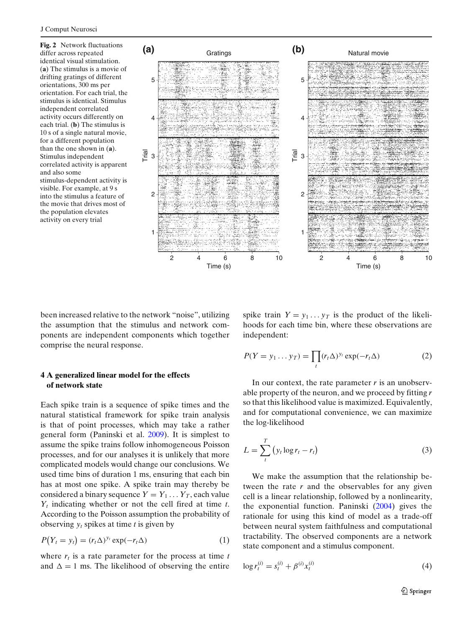<span id="page-4-0"></span>**Fig. 2** Network fluctuations differ across repeated identical visual stimulation. (**a**) The stimulus is a movie of drifting gratings of different orientations, 300 ms per orientation. For each trial, the stimulus is identical. Stimulus independent correlated activity occurs differently on each trial. (**b**) The stimulus is 10 s of a single natural movie, for a different population than the one shown in (**a**). Stimulus independent correlated activity is apparent and also some stimulus-dependent activity is visible. For example, at 9 s into the stimulus a feature of the movie that drives most of the population elevates activity on every trial



been increased relative to the network "noise", utilizing the assumption that the stimulus and network components are independent components which together comprise the neural response.

# **4 A generalized linear model for the effects of network state**

Each spike train is a sequence of spike times and the natural statistical framework for spike train analysis is that of point processes, which may take a rather general form (Paninski et al[.](#page-12-0) [2009\)](#page-12-0). It is simplest to assume the spike trains follow inhomogeneous Poisson processes, and for our analyses it is unlikely that more complicated models would change our conclusions. We used time bins of duration 1 ms, ensuring that each bin has at most one spike. A spike train may thereby be considered a binary sequence  $Y = Y_1 \dots Y_T$ , each value *Yt* indicating whether or not the cell fired at time *t*. According to the Poisson assumption the probability of observing  $y_t$  spikes at time *t* is given by

$$
P(Y_t = y_t) = (r_t \Delta)^{y_t} \exp(-r_t \Delta)
$$
\n(1)

where  $r_t$  is a rate parameter for the process at time  $t$ and  $\Delta = 1$  ms. The likelihood of observing the entire

spike train  $Y = y_1 \dots y_T$  is the product of the likelihoods for each time bin, where these observations are independent:

$$
P(Y = y_1 \dots y_T) = \prod_t (r_t \Delta)^{y_t} \exp(-r_t \Delta)
$$
 (2)

In our context, the rate parameter  $r$  is an unobservable property of the neuron, and we proceed by fitting *r* so that this likelihood value is maximized. Equivalently, and for computational convenience, we can maximize the log-likelihood

$$
L = \sum_{t}^{T} (y_t \log r_t - r_t)
$$
 (3)

We make the assumption that the relationship between the rate *r* and the observables for any given cell is a linear relationship, followed by a nonlinearity, the exponential function. Paninsk[i](#page-12-0) [\(2004\)](#page-12-0) gives the rationale for using this kind of model as a trade-off between neural system faithfulness and computational tractability. The observed components are a network state component and a stimulus component.

$$
\log r_t^{(i)} = s_t^{(i)} + \beta^{(i)} x_t^{(i)}
$$
\n(4)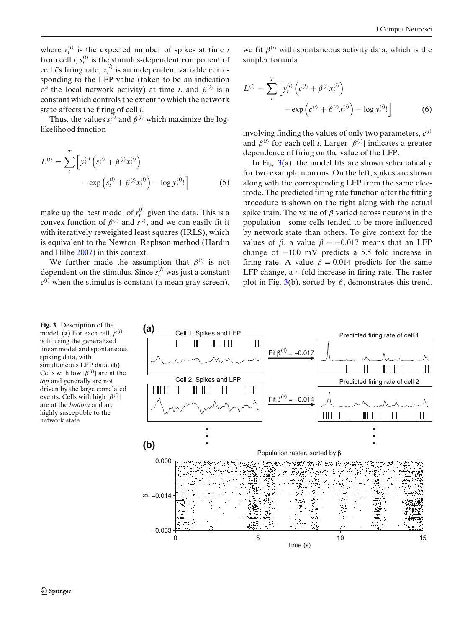<span id="page-5-0"></span>where  $r_t^{(i)}$  is the expected number of spikes at time *t* from cell *i*,  $s_t^{(i)}$  is the stimulus-dependent component of cell *i*'s firing rate,  $x_t^{(i)}$  is an independent variable corresponding to the LFP value (taken to be an indication of the local network activity) at time *t*, and  $\beta^{(i)}$  is a constant which controls the extent to which the network state affects the firing of cell *i*.

Thus, the values  $s_t^{(i)}$  and  $\beta^{(i)}$  which maximize the loglikelihood function

$$
L^{(i)} = \sum_{t}^{T} \left[ y_t^{(i)} \left( s_t^{(i)} + \beta^{(i)} x_t^{(i)} \right) - \exp \left( s_t^{(i)} + \beta^{(i)} x_t^{(i)} \right) - \log y_t^{(i)} \right]
$$
(5)

make up the best model of  $r_t^{(i)}$  given the data. This is a convex function of  $\beta^{(i)}$  and  $s^{(i)}$ , and we can easily fit it with iteratively reweighted least squares (IRLS), which is equivalent to the Newton–Raphson method (Hardin and Hilb[e](#page-11-0) [2007\)](#page-11-0) in this context.

We further made the assumption that  $\beta^{(i)}$  is not dependent on the stimulus. Since  $s_t^{(i)}$  was just a constant  $c^{(i)}$  when the stimulus is constant (a mean gray screen),

we fit  $\beta^{(i)}$  with spontaneous activity data, which is the simpler formula

$$
L^{(i)} = \sum_{t}^{T} \left[ y_t^{(i)} \left( c^{(i)} + \beta^{(i)} x_t^{(i)} \right) - \exp \left( c^{(i)} + \beta^{(i)} x_t^{(i)} \right) - \log y_t^{(i)} \right]
$$
(6)

involving finding the values of only two parameters,  $c^{(i)}$ and  $\beta^{(i)}$  for each cell *i*. Larger  $|\beta^{(i)}|$  indicates a greater dependence of firing on the value of the LFP.

In Fig.  $3(a)$ , the model fits are shown schematically for two example neurons. On the left, spikes are shown along with the corresponding LFP from the same electrode. The predicted firing rate function after the fitting procedure is shown on the right along with the actual spike train. The value of  $\beta$  varied across neurons in the population—some cells tended to be more influenced by network state than others. To give context for the values of  $\beta$ , a value  $\beta = -0.017$  means that an LFP change of −100 mV predicts a 5.5 fold increase in firing rate. A value  $\beta = 0.014$  predicts for the same LFP change, a 4 fold increase in firing rate. The raster plot in Fig. 3(b), sorted by  $\beta$ , demonstrates this trend.

**Fig. 3** Description of the model. (**a**) For each cell,  $\beta^{(i)}$ is fit using the generalized linear model and spontaneous spiking data, with simultaneous LFP data. (**b**) Cells with low  $|\beta^{(i)}|$  are at the *top* and generally are not driven by the large correlated events. Cells with high  $|\beta^{(i)}|$ are at the *bottom* and are highly susceptible to the network state

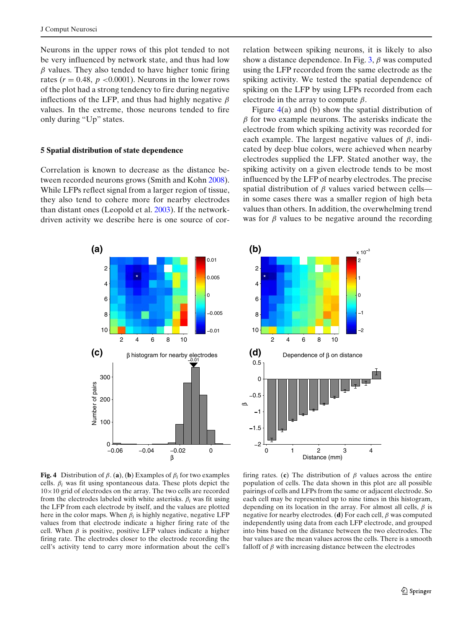<span id="page-6-0"></span>Neurons in the upper rows of this plot tended to not be very influenced by network state, and thus had low  $\beta$  values. They also tended to have higher tonic firing rates  $(r = 0.48, p < 0.0001)$ . Neurons in the lower rows of the plot had a strong tendency to fire during negative inflections of the LFP, and thus had highly negative  $\beta$ values. In the extreme, those neurons tended to fire only during "Up" states.

#### **5 Spatial distribution of state dependence**

Correlation is known to decrease as the distance between recorded neurons grows (Smith and Koh[n](#page-12-0) [2008\)](#page-12-0). While LFPs reflect signal from a larger region of tissue, they also tend to cohere more for nearby electrodes than distant ones (Leopold et al[.](#page-12-0) [2003\)](#page-12-0). If the networkdriven activity we describe here is one source of correlation between spiking neurons, it is likely to also show a distance dependence. In Fig. [3,](#page-5-0)  $\beta$  was computed using the LFP recorded from the same electrode as the spiking activity. We tested the spatial dependence of spiking on the LFP by using LFPs recorded from each electrode in the array to compute  $\beta$ .

Figure 4(a) and (b) show the spatial distribution of  $\beta$  for two example neurons. The asterisks indicate the electrode from which spiking activity was recorded for each example. The largest negative values of  $\beta$ , indicated by deep blue colors, were achieved when nearby electrodes supplied the LFP. Stated another way, the spiking activity on a given electrode tends to be most influenced by the LFP of nearby electrodes. The precise spatial distribution of  $\beta$  values varied between cells in some cases there was a smaller region of high beta values than others. In addition, the overwhelming trend was for  $\beta$  values to be negative around the recording





**Fig. 4** Distribution of  $\beta$ . (**a**), (**b**) Examples of  $\beta_i$  for two examples cells. β*<sup>i</sup>* was fit using spontaneous data. These plots depict the  $10\times10$  grid of electrodes on the array. The two cells are recorded from the electrodes labeled with white asterisks.  $\beta_i$  was fit using the LFP from each electrode by itself, and the values are plotted here in the color maps. When  $\beta_i$  is highly negative, negative LFP values from that electrode indicate a higher firing rate of the cell. When  $\beta$  is positive, positive LFP values indicate a higher firing rate. The electrodes closer to the electrode recording the cell's activity tend to carry more information about the cell's

firing rates. (c) The distribution of  $\beta$  values across the entire population of cells. The data shown in this plot are all possible pairings of cells and LFPs from the same or adjacent electrode. So each cell may be represented up to nine times in this histogram, depending on its location in the array. For almost all cells,  $\beta$  is negative for nearby electrodes. (**d**) For each cell, β was computed independently using data from each LFP electrode, and grouped into bins based on the distance between the two electrodes. The bar values are the mean values across the cells. There is a smooth falloff of  $\beta$  with increasing distance between the electrodes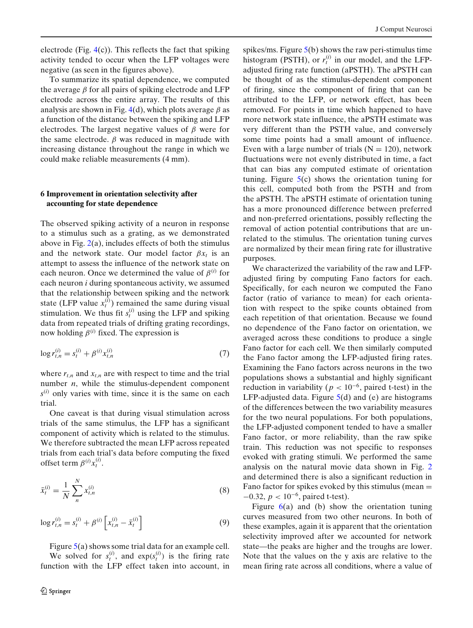<span id="page-7-0"></span>electrode (Fig.  $4(c)$  $4(c)$ ). This reflects the fact that spiking activity tended to occur when the LFP voltages were negative (as seen in the figures above).

To summarize its spatial dependence, we computed the average  $\beta$  for all pairs of spiking electrode and LFP electrode across the entire array. The results of this analysis are shown in Fig. [4\(](#page-6-0)d), which plots average  $\beta$  as a function of the distance between the spiking and LFP electrodes. The largest negative values of  $\beta$  were for the same electrode.  $\beta$  was reduced in magnitude with increasing distance throughout the range in which we could make reliable measurements (4 mm).

## **6 Improvement in orientation selectivity after accounting for state dependence**

The observed spiking activity of a neuron in response to a stimulus such as a grating, as we demonstrated above in Fig.  $2(a)$  $2(a)$ , includes effects of both the stimulus and the network state. Our model factor  $\beta x_t$  is an attempt to assess the influence of the network state on each neuron. Once we determined the value of  $\beta^{(i)}$  for each neuron *i* during spontaneous activity, we assumed that the relationship between spiking and the network state (LFP value  $x_t^{(i)}$ ) remained the same during visual stimulation. We thus fit  $s_t^{(i)}$  using the LFP and spiking data from repeated trials of drifting grating recordings, now holding  $\beta^{(i)}$  fixed. The expression is

$$
\log r_{t,n}^{(i)} = s_t^{(i)} + \beta^{(i)} x_{t,n}^{(i)}
$$
\n<sup>(7)</sup>

where  $r_{t,n}$  and  $x_{t,n}$  are with respect to time and the trial number *n*, while the stimulus-dependent component  $s^{(i)}$  only varies with time, since it is the same on each trial.

One caveat is that during visual stimulation across trials of the same stimulus, the LFP has a significant component of activity which is related to the stimulus. We therefore subtracted the mean LFP across repeated trials from each trial's data before computing the fixed offset term  $\beta^{(i)} x_t^{(i)}$ .

$$
\bar{x}_t^{(i)} = \frac{1}{N} \sum_n^N x_{t,n}^{(i)}
$$
\n(8)

$$
\log r_{t,n}^{(i)} = s_t^{(i)} + \beta^{(i)} \left[ x_{t,n}^{(i)} - \bar{x}_t^{(i)} \right] \tag{9}
$$

Figure [5\(](#page-8-0)a) shows some trial data for an example cell.

We solved for  $s_t^{(i)}$ , and  $exp(s_t^{(i)})$  is the firing rate function with the LFP effect taken into account, in spikes/ms. Figure  $5(b)$  $5(b)$  shows the raw peri-stimulus time histogram (PSTH), or  $r_t^{(i)}$  in our model, and the LFPadjusted firing rate function (aPSTH). The aPSTH can be thought of as the stimulus-dependent component of firing, since the component of firing that can be attributed to the LFP, or network effect, has been removed. For points in time which happened to have more network state influence, the aPSTH estimate was very different than the PSTH value, and conversely some time points had a small amount of influence. Even with a large number of trials  $(N = 120)$ , network fluctuations were not evenly distributed in time, a fact that can bias any computed estimate of orientation tuning. Figure  $5(c)$  $5(c)$  shows the orientation tuning for this cell, computed both from the PSTH and from the aPSTH. The aPSTH estimate of orientation tuning has a more pronounced difference between preferred and non-preferred orientations, possibly reflecting the removal of action potential contributions that are unrelated to the stimulus. The orientation tuning curves are normalized by their mean firing rate for illustrative purposes.

We characterized the variability of the raw and LFPadjusted firing by computing Fano factors for each. Specifically, for each neuron we computed the Fano factor (ratio of variance to mean) for each orientation with respect to the spike counts obtained from each repetition of that orientation. Because we found no dependence of the Fano factor on orientation, we averaged across these conditions to produce a single Fano factor for each cell. We then similarly computed the Fano factor among the LFP-adjusted firing rates. Examining the Fano factors across neurons in the two populations shows a substantial and highly significant reduction in variability ( $p < 10^{-6}$ , paired t-test) in the LFP-adjusted data. Figure  $5(d)$  $5(d)$  and (e) are histograms of the differences between the two variability measures for the two neural populations. For both populations, the LFP-adjusted component tended to have a smaller Fano factor, or more reliability, than the raw spike train. This reduction was not specific to responses evoked with grating stimuli. We performed the same analysis on the natural movie data shown in Fig. [2](#page-4-0) and determined there is also a significant reduction in Fano factor for spikes evoked by this stimulus (mean  $=$ −0.32, *p* < 10<sup>−</sup><sup>6</sup>, paired t-test).

Figure  $6(a)$  $6(a)$  and (b) show the orientation tuning curves measured from two other neurons. In both of these examples, again it is apparent that the orientation selectivity improved after we accounted for network state—the peaks are higher and the troughs are lower. Note that the values on the y axis are relative to the mean firing rate across all conditions, where a value of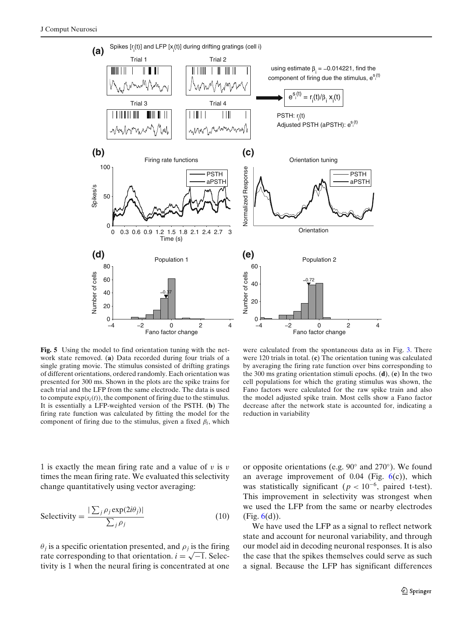<span id="page-8-0"></span>

**Fig. 5** Using the model to find orientation tuning with the network state removed. (**a**) Data recorded during four trials of a single grating movie. The stimulus consisted of drifting gratings of different orientations, ordered randomly. Each orientation was presented for 300 ms. Shown in the plots are the spike trains for each trial and the LFP from the same electrode. The data is used to compute  $exp(s_i(t))$ , the component of firing due to the stimulus. It is essentially a LFP-weighted version of the PSTH. (**b**) The firing rate function was calculated by fitting the model for the component of firing due to the stimulus, given a fixed  $\beta_i$ , which

were calculated from the spontaneous data as in Fig. [3.](#page-5-0) There were 120 trials in total. (**c**) The orientation tuning was calculated by averaging the firing rate function over bins corresponding to the 300 ms grating orientation stimuli epochs. (**d**), (**e**) In the two cell populations for which the grating stimulus was shown, the Fano factors were calculated for the raw spike train and also the model adjusted spike train. Most cells show a Fano factor decrease after the network state is accounted for, indicating a reduction in variability

1 is exactly the mean firing rate and a value of  $v$  is  $v$ times the mean firing rate. We evaluated this selectivity change quantitatively using vector averaging:

$$
\text{Selectivity} = \frac{|\sum_{j} \rho_{j} \exp(2i\theta_{j})|}{\sum_{j} \rho_{j}} \tag{10}
$$

 $\theta_i$  is a specific orientation presented, and  $\rho_i$  is the firing rate corresponding to that orientation.  $i = \sqrt{-1}$ . Selectivity is 1 when the neural firing is concentrated at one

or opposite orientations (e.g. 90◦ and 270◦). We found an average improvement of  $0.04$  (Fig.  $6(c)$  $6(c)$ ), which was statistically significant ( $p < 10^{-6}$ , paired t-test). This improvement in selectivity was strongest when we used the LFP from the same or nearby electrodes  $(Fig. 6(d)).$  $(Fig. 6(d)).$  $(Fig. 6(d)).$ 

We have used the LFP as a signal to reflect network state and account for neuronal variability, and through our model aid in decoding neuronal responses. It is also the case that the spikes themselves could serve as such a signal. Because the LFP has significant differences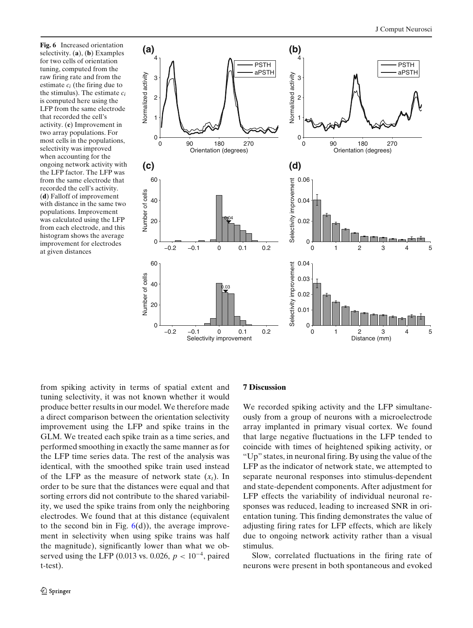<span id="page-9-0"></span>**Fig. 6** Increased orientation selectivity. (**a**), (**b**) Examples for two cells of orientation tuning, computed from the raw firing rate and from the estimate *ci* (the firing due to the stimulus). The estimate *ci* is computed here using the LFP from the same electrode that recorded the cell's activity. (**c**) Improvement in two array populations. For most cells in the populations, selectivity was improved when accounting for the ongoing network activity with the LFP factor. The LFP was from the same electrode that recorded the cell's activity. (**d**) Falloff of improvement with distance in the same two populations. Improvement was calculated using the LFP from each electrode, and this histogram shows the average improvement for electrodes at given distances



from spiking activity in terms of spatial extent and tuning selectivity, it was not known whether it would produce better results in our model. We therefore made a direct comparison between the orientation selectivity improvement using the LFP and spike trains in the GLM. We treated each spike train as a time series, and performed smoothing in exactly the same manner as for the LFP time series data. The rest of the analysis was identical, with the smoothed spike train used instead of the LFP as the measure of network state  $(x_t)$ . In order to be sure that the distances were equal and that sorting errors did not contribute to the shared variability, we used the spike trains from only the neighboring electrodes. We found that at this distance (equivalent to the second bin in Fig.  $6(d)$ , the average improvement in selectivity when using spike trains was half the magnitude), significantly lower than what we observed using the LFP (0.013 vs. 0.026,  $p < 10^{-4}$ , paired t-test).

## **7 Discussion**

We recorded spiking activity and the LFP simultaneously from a group of neurons with a microelectrode array implanted in primary visual cortex. We found that large negative fluctuations in the LFP tended to coincide with times of heightened spiking activity, or "Up" states, in neuronal firing. By using the value of the LFP as the indicator of network state, we attempted to separate neuronal responses into stimulus-dependent and state-dependent components. After adjustment for LFP effects the variability of individual neuronal responses was reduced, leading to increased SNR in orientation tuning. This finding demonstrates the value of adjusting firing rates for LFP effects, which are likely due to ongoing network activity rather than a visual stimulus.

Slow, correlated fluctuations in the firing rate of neurons were present in both spontaneous and evoked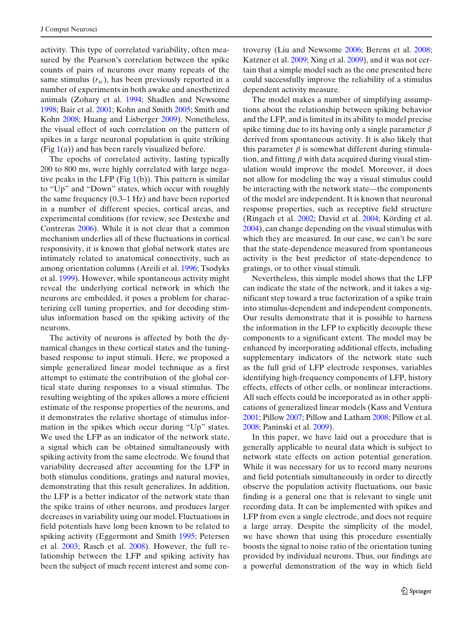activity. This type of correlated variability, often measured by the Pearson's correlation between the spike counts of pairs of neurons over many repeats of the same stimulus (*rsc*), has been previously reported in a number of experiments in both awake and anesthetized animals (Zohary et al[.](#page-12-0) [1994](#page-12-0); Shadlen and Newsom[e](#page-12-0) [1998](#page-12-0); Bair et al[.](#page-11-0) [2001](#page-11-0); Kohn and Smit[h](#page-11-0) [2005;](#page-11-0) Smith and Kohn [2008](#page-12-0); Huang and Lisberge[r](#page-11-0) [2009](#page-11-0)). Nonetheless, the visual effect of such correlation on the pattern of spikes in a large neuronal population is quite striking (Fig  $1(a)$  $1(a)$ ) and has been rarely visualized before.

The epochs of correlated activity, lasting typically 200 to 800 ms, were highly correlated with large negative peaks in the LFP (Fig  $1(b)$  $1(b)$ ). This pattern is similar to "Up" and "Down" states, which occur with roughly the same frequency (0.3–1 Hz) and have been reported in a number of different species, cortical areas, and experimental conditions (for review, see Destexhe and Contrera[s](#page-11-0) [2006](#page-11-0)). While it is not clear that a common mechanism underlies all of these fluctuations in cortical responsivity, it is known that global network states are intimately related to anatomical connectivity, such as among orientation columns (Areili et al[.](#page-11-0) [1996](#page-11-0); Tsodyks et al[.](#page-12-0) [1999](#page-12-0)). However, while spontaneous activity might reveal the underlying cortical network in which the neurons are embedded, it poses a problem for characterizing cell tuning properties, and for decoding stimulus information based on the spiking activity of the neurons.

The activity of neurons is affected by both the dynamical changes in these cortical states and the tuningbased response to input stimuli. Here, we proposed a simple generalized linear model technique as a first attempt to estimate the contribution of the global cortical state during responses to a visual stimulus. The resulting weighting of the spikes allows a more efficient estimate of the response properties of the neurons, and it demonstrates the relative shortage of stimulus information in the spikes which occur during "Up" states. We used the LFP as an indicator of the network state, a signal which can be obtained simultaneously with spiking activity from the same electrode. We found that variability decreased after accounting for the LFP in both stimulus conditions, gratings and natural movies, demonstrating that this result generalizes. In addition, the LFP is a better indicator of the network state than the spike trains of other neurons, and produces larger decreases in variability using our model. Fluctuations in field potentials have long been known to be related to spiking activity (Eggermont and Smit[h](#page-11-0) [1995](#page-11-0); Petersen et al[.](#page-12-0) [2003](#page-12-0); Rasch et al[.](#page-12-0) [2008\)](#page-12-0). However, the full relationship between the LFP and spiking activity has been the subject of much recent interest and some controversy (Liu and Newsom[e](#page-12-0) [2006;](#page-12-0) Berens et al[.](#page-11-0) [2008;](#page-11-0) Katzner et al[.](#page-11-0) [2009](#page-11-0); Xing et al[.](#page-12-0) [2009](#page-12-0)), and it was not certain that a simple model such as the one presented here could successfully improve the reliability of a stimulus dependent activity measure.

The model makes a number of simplifying assumptions about the relationship between spiking behavior and the LFP, and is limited in its ability to model precise spike timing due to its having only a single parameter  $\beta$ derived from spontaneous activity. It is also likely that this parameter  $\beta$  is somewhat different during stimulation, and fitting  $\beta$  with data acquired during visual stimulation would improve the model. Moreover, it does not allow for modeling the way a visual stimulus could be interacting with the network state—the components of the model are independent. It is known that neuronal response properties, such as receptive field structure (Ringach et al[.](#page-12-0) [2002](#page-12-0); David et al[.](#page-11-0) [2004;](#page-11-0) Körding et al[.](#page-11-0) [2004](#page-11-0)), can change depending on the visual stimulus with which they are measured. In our case, we can't be sure that the state-dependence measured from spontaneous activity is the best predictor of state-dependence to gratings, or to other visual stimuli.

Nevertheless, this simple model shows that the LFP can indicate the state of the network, and it takes a significant step toward a true factorization of a spike train into stimulus-dependent and independent components. Our results demonstrate that it is possible to harness the information in the LFP to explicitly decouple these components to a significant extent. The model may be enhanced by incorporating additional effects, including supplementary indicators of the network state such as the full grid of LFP electrode responses, variables identifying high-frequency components of LFP, history effects, effects of other cells, or nonlinear interactions. All such effects could be incorporated as in other applications of generalized linear models (Kass and Ventur[a](#page-11-0) [2001](#page-11-0); Pillo[w](#page-12-0) [2007](#page-12-0); Pillow and Latha[m](#page-12-0) [2008](#page-12-0); Pillow et al[.](#page-12-0) [2008](#page-12-0); Paninski et al[.](#page-12-0) [2009\)](#page-12-0).

In this paper, we have laid out a procedure that is generally applicable to neural data which is subject to network state effects on action potential generation. While it was necessary for us to record many neurons and field potentials simultaneously in order to directly observe the population activity fluctuations, our basic finding is a general one that is relevant to single unit recording data. It can be implemented with spikes and LFP from even a single electrode, and does not require a large array. Despite the simplicity of the model, we have shown that using this procedure essentially boosts the signal to noise ratio of the orientation tuning provided by individual neurons. Thus, our findings are a powerful demonstration of the way in which field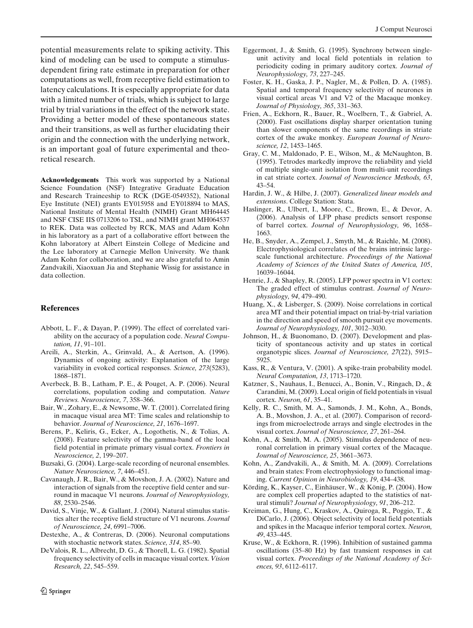<span id="page-11-0"></span>potential measurements relate to spiking activity. This kind of modeling can be used to compute a stimulusdependent firing rate estimate in preparation for other computations as well, from receptive field estimation to latency calculations. It is especially appropriate for data with a limited number of trials, which is subject to large trial by trial variations in the effect of the network state. Providing a better model of these spontaneous states and their transitions, as well as further elucidating their origin and the connection with the underlying network, is an important goal of future experimental and theoretical research.

**Acknowledgements** This work was supported by a National Science Foundation (NSF) Integrative Graduate Education and Research Traineeship to RCK (DGE-0549352), National Eye Institute (NEI) grants EY015958 and EY018894 to MAS, National Institute of Mental Health (NIMH) Grant MH64445 and NSF CISE IIS 0713206 to TSL, and NIMH grant MH064537 to REK. Data was collected by RCK, MAS and Adam Kohn in his laboratory as a part of a collaborative effort between the Kohn laboratory at Albert Einstein College of Medicine and the Lee laboratory at Carnegie Mellon University. We thank Adam Kohn for collaboration, and we are also grateful to Amin Zandvakili, Xiaoxuan Jia and Stephanie Wissig for assistance in data collection.

#### **References**

- Abbott, L. F., & Dayan, P. (1999). The effect of correlated variability on the accuracy of a population code. *Neural Computation, 11*, 91–101.
- Areili, A., Sterkin, A., Grinvald, A., & Aertson, A. (1996). Dynamics of ongoing activity: Explanation of the large variability in evoked cortical responses. *Science, 273*(5283), 1868–1871.
- Averbeck, B. B., Latham, P. E., & Pouget, A. P. (2006). Neural correlations, population coding and computation. *Nature Reviews. Neuroscience, 7*, 358–366.
- Bair, W., Zohary, E., & Newsome, W. T. (2001). Correlated firing in macaque visual area MT: Time scales and relationship to behavior. *Journal of Neuroscience, 21*, 1676–1697.
- Berens, P., Keliris, G., Ecker, A., Logothetis, N., & Tolias, A. (2008). Feature selectivity of the gamma-band of the local field potential in primate primary visual cortex. *Frontiers in Neuroscience, 2*, 199–207.
- Buzsaki, G. (2004). Large-scale recording of neuronal ensembles. *Nature Neuroscience, 7*, 446–451.
- Cavanaugh, J. R., Bair, W., & Movshon, J. A. (2002). Nature and interaction of signals from the receptive field center and surround in macaque V1 neurons. *Journal of Neurophysiology, 88*, 2530–2546.
- David, S., Vinje, W., & Gallant, J. (2004). Natural stimulus statistics alter the receptive field structure of V1 neurons. *Journal of Neuroscience, 24*, 6991–7006.
- Destexhe, A., & Contreras, D. (2006). Neuronal computations with stochastic network states. *Science, 314*, 85–90.
- DeValois, R. L., Albrecht, D. G., & Thorell, L. G. (1982). Spatial frequency selectivity of cells in macaque visual cortex. *Vision Research, 22*, 545–559.
- Eggermont, J., & Smith, G. (1995). Synchrony between singleunit activity and local field potentials in relation to periodicity coding in primary auditory cortex. *Journal of Neurophysiology, 73*, 227–245.
- Foster, K. H., Gaska, J. P., Nagler, M., & Pollen, D. A. (1985). Spatial and temporal frequency selectivity of neurones in visual cortical areas V1 and V2 of the Macaque monkey. *Journal of Physiology, 365*, 331–363.
- Frien, A., Eckhorn, R., Bauer, R., Woelbern, T., & Gabriel, A. (2000). Fast oscillations display sharper orientation tuning than slower components of the same recordings in striate cortex of the awake monkey. *European Journal of Neuroscience, 12*, 1453–1465.
- Gray, C. M., Maldonado, P. E., Wilson, M., & McNaughton, B. (1995). Tetrodes markedly improve the reliability and yield of multiple single-unit isolation from multi-unit recordings in cat striate cortex. *Journal of Neuroscience Methods, 63*, 43–54.
- Hardin, J. W., & Hilbe, J. (2007). *Generalized linear models and extensions*. College Station: Stata.
- Haslinger, R., Ulbert, I., Moore, C., Brown, E., & Devor, A. (2006). Analysis of LFP phase predicts sensort response of barrel cortex. *Journal of Neurophysiology, 96*, 1658– 1663.
- He, B., Snyder, A., Zempel, J., Smyth, M., & Raichle, M. (2008). Electrophysiological correlates of the brains intrinsic largescale functional architecture. *Proceedings of the National Academy of Sciences of the United States of America, 105*, 16039–16044.
- Henrie, J., & Shapley, R. (2005). LFP power spectra in V1 cortex: The graded effect of stimulus contrast. *Journal of Neurophysiology, 94*, 479–490.
- Huang, X., & Lisberger, S. (2009). Noise correlations in cortical area MT and their potential impact on trial-by-trial variation in the direction and speed of smooth pursuit eye movements. *Journal of Neurophysiology, 101*, 3012–3030.
- Johnson, H., & Buonomano, D. (2007). Development and plasticity of spontaneous activity and up states in cortical organotypic slices. *Journal of Neuroscience, 27*(22), 5915– 5925.
- Kass, R., & Ventura, V. (2001). A spike-train probability model. *Neural Computation, 13*, 1713–1720.
- Katzner, S., Nauhaus, I., Benucci, A., Bonin, V., Ringach, D., & Carandini, M. (2009). Local origin of field potentials in visual cortex. *Neuron, 61*, 35–41.
- Kelly, R. C., Smith, M. A., Samonds, J. M., Kohn, A., Bonds, A. B., Movshon, J. A., et al. (2007). Comparison of recordings from microelectrode arrays and single electrodes in the visual cortex. *Journal of Neuroscience, 27*, 261–264.
- Kohn, A., & Smith, M. A. (2005). Stimulus dependence of neuronal correlation in primary visual cortex of the Macaque. *Journal of Neuroscience, 25*, 3661–3673.
- Kohn, A., Zandvakili, A., & Smith, M. A. (2009). Correlations and brain states: From electrophysiology to functional imaging. *Current Opinion in Neurobiology, 19*, 434–438.
- Körding, K., Kayser, C., Einhäuser, W., & König, P. (2004). How are complex cell properties adapted to the statistics of natural stimuli? *Journal of Neurophysiology, 91*, 206–212.
- Kreiman, G., Hung, C., Kraskov, A., Quiroga, R., Poggio, T., & DiCarlo, J. (2006). Object selectivity of local field potentials and spikes in the Macaque inferior temporal cortex. *Neuron, 49*, 433–445.
- Kruse, W., & Eckhorn, R. (1996). Inhibition of sustained gamma oscillations (35–80 Hz) by fast transient responses in cat visual cortex. *Proceedings of the National Academy of Sciences, 93*, 6112–6117.